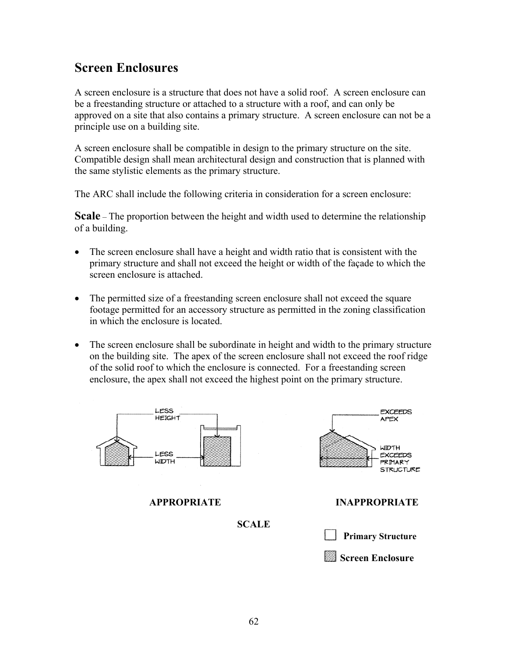# **Screen Enclosures**

A screen enclosure is a structure that does not have a solid roof. A screen enclosure can be a freestanding structure or attached to a structure with a roof, and can only be approved on a site that also contains a primary structure. A screen enclosure can not be a principle use on a building site.

A screen enclosure shall be compatible in design to the primary structure on the site. Compatible design shall mean architectural design and construction that is planned with the same stylistic elements as the primary structure.

The ARC shall include the following criteria in consideration for a screen enclosure:

**Scale** – The proportion between the height and width used to determine the relationship of a building.

- The screen enclosure shall have a height and width ratio that is consistent with the primary structure and shall not exceed the height or width of the façade to which the screen enclosure is attached.
- The permitted size of a freestanding screen enclosure shall not exceed the square footage permitted for an accessory structure as permitted in the zoning classification in which the enclosure is located.
- The screen enclosure shall be subordinate in height and width to the primary structure on the building site. The apex of the screen enclosure shall not exceed the roof ridge of the solid roof to which the enclosure is connected. For a freestanding screen enclosure, the apex shall not exceed the highest point on the primary structure.

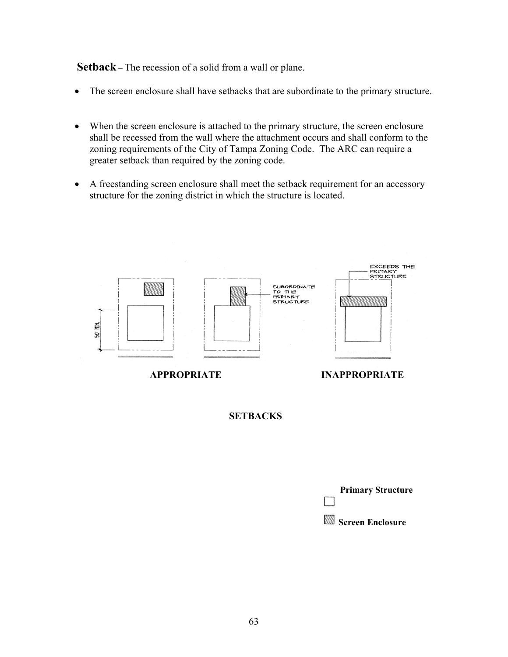**Setback** – The recession of a solid from a wall or plane.

- The screen enclosure shall have setbacks that are subordinate to the primary structure.
- When the screen enclosure is attached to the primary structure, the screen enclosure shall be recessed from the wall where the attachment occurs and shall conform to the zoning requirements of the City of Tampa Zoning Code. The ARC can require a greater setback than required by the zoning code.
- A freestanding screen enclosure shall meet the setback requirement for an accessory structure for the zoning district in which the structure is located.



**SETBACKS**

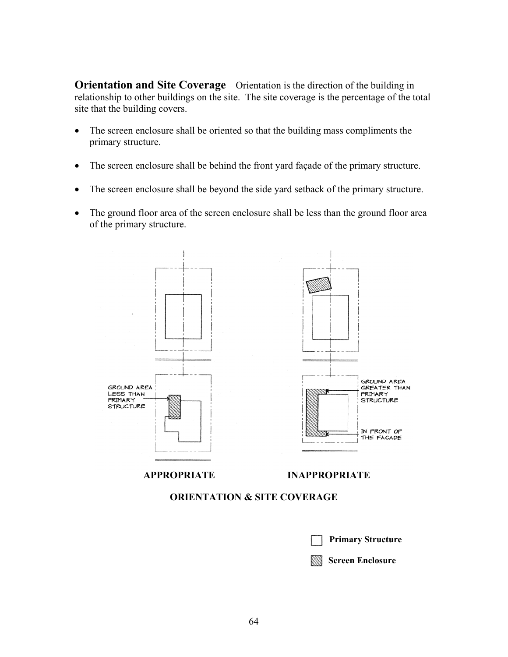**Orientation and Site Coverage** – Orientation is the direction of the building in relationship to other buildings on the site. The site coverage is the percentage of the total site that the building covers.

- The screen enclosure shall be oriented so that the building mass compliments the primary structure.
- The screen enclosure shall be behind the front yard façade of the primary structure.
- The screen enclosure shall be beyond the side yard setback of the primary structure.
- The ground floor area of the screen enclosure shall be less than the ground floor area of the primary structure.



## **ORIENTATION & SITE COVERAGE**

|  | <b>Primary Structure</b> |
|--|--------------------------|
|  | Screen Enclosure         |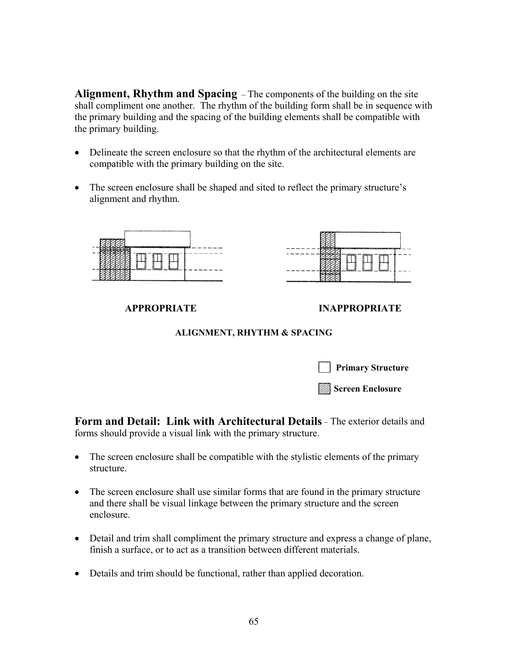**Alignment, Rhythm and Spacing** – The components of the building on the site shall compliment one another. The rhythm of the building form shall be in sequence with the primary building and the spacing of the building elements shall be compatible with the primary building.

- Delineate the screen enclosure so that the rhythm of the architectural elements are compatible with the primary building on the site.
- The screen enclosure shall be shaped and sited to reflect the primary structure's alignment and rhythm.



#### **APPROPRIATE INAPPROPRIATE**

#### **ALIGNMENT, RHYTHM & SPACING**

| <b>Primary Structure</b> |
|--------------------------|
| Screen Enclosure         |

**Form and Detail: Link with Architectural Details** – The exterior details and forms should provide a visual link with the primary structure.

- The screen enclosure shall be compatible with the stylistic elements of the primary structure.
- The screen enclosure shall use similar forms that are found in the primary structure and there shall be visual linkage between the primary structure and the screen enclosure.
- Detail and trim shall compliment the primary structure and express a change of plane, finish a surface, or to act as a transition between different materials.
- Details and trim should be functional, rather than applied decoration.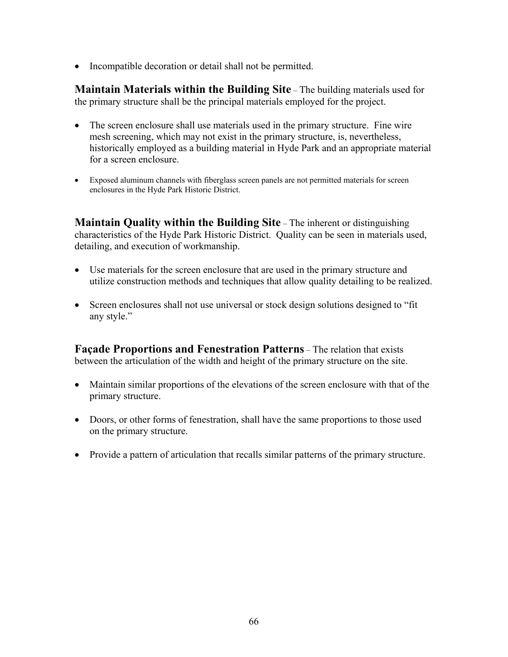• Incompatible decoration or detail shall not be permitted.

**Maintain Materials within the Building Site** – The building materials used for the primary structure shall be the principal materials employed for the project.

- The screen enclosure shall use materials used in the primary structure. Fine wire mesh screening, which may not exist in the primary structure, is, nevertheless, historically employed as a building material in Hyde Park and an appropriate material for a screen enclosure.
- Exposed aluminum channels with fiberglass screen panels are not permitted materials for screen enclosures in the Hyde Park Historic District.

**Maintain Quality within the Building Site** – The inherent or distinguishing characteristics of the Hyde Park Historic District. Quality can be seen in materials used, detailing, and execution of workmanship.

- Use materials for the screen enclosure that are used in the primary structure and utilize construction methods and techniques that allow quality detailing to be realized.
- Screen enclosures shall not use universal or stock design solutions designed to "fit" any style."

**Façade Proportions and Fenestration Patterns** – The relation that exists between the articulation of the width and height of the primary structure on the site.

- Maintain similar proportions of the elevations of the screen enclosure with that of the primary structure.
- Doors, or other forms of fenestration, shall have the same proportions to those used on the primary structure.
- Provide a pattern of articulation that recalls similar patterns of the primary structure.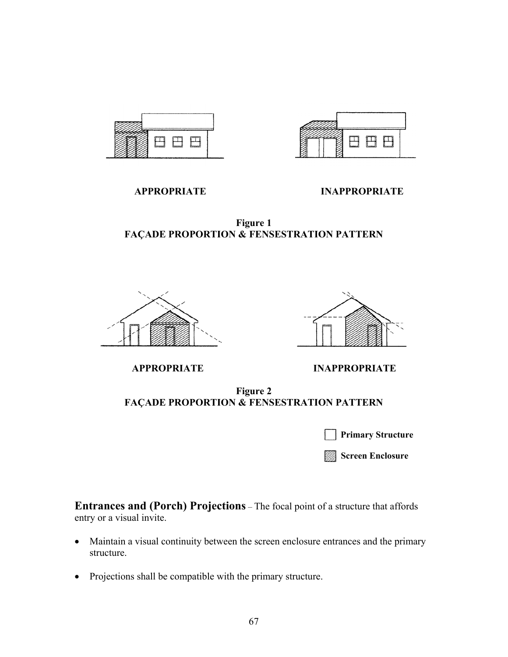



 **APPROPRIATE INAPPROPRIATE**

**Figure 1 FAÇADE PROPORTION & FENSESTRATION PATTERN**





 **APPROPRIATE INAPPROPRIATE**

**Figure 2 FAÇADE PROPORTION & FENSESTRATION PATTERN**

|  | <b>Primary Structure</b> |
|--|--------------------------|
|--|--------------------------|

**Screen Enclosure**

**Entrances and (Porch) Projections** – The focal point of a structure that affords entry or a visual invite.

- Maintain a visual continuity between the screen enclosure entrances and the primary structure.
- Projections shall be compatible with the primary structure.